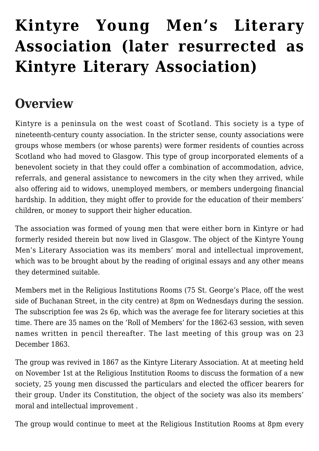# **[Kintyre Young Men's Literary](https://www.glasgowsliterarybonds.org/societies/kintyre-young-mens-literary-association-later-resurrected-as-kintyre-literary-association/) [Association \(later resurrected as](https://www.glasgowsliterarybonds.org/societies/kintyre-young-mens-literary-association-later-resurrected-as-kintyre-literary-association/) [Kintyre Literary Association\)](https://www.glasgowsliterarybonds.org/societies/kintyre-young-mens-literary-association-later-resurrected-as-kintyre-literary-association/)**

# **Overview**

Kintyre is a peninsula on the west coast of Scotland. This society is a type of nineteenth-century county association. In the stricter sense, county associations were groups whose members (or whose parents) were former residents of counties across Scotland who had moved to Glasgow. This type of group incorporated elements of a benevolent society in that they could offer a combination of accommodation, advice, referrals, and general assistance to newcomers in the city when they arrived, while also offering aid to widows, unemployed members, or members undergoing financial hardship. In addition, they might offer to provide for the education of their members' children, or money to support their higher education.

The association was formed of young men that were either born in Kintyre or had formerly resided therein but now lived in Glasgow. The object of the Kintyre Young Men's Literary Association was its members' moral and intellectual improvement, which was to be brought about by the reading of original essays and any other means they determined suitable.

Members met in the Religious Institutions Rooms (75 St. George's Place, off the west side of Buchanan Street, in the city centre) at 8pm on Wednesdays during the session. The subscription fee was 2s 6p, which was the average fee for literary societies at this time. There are 35 names on the 'Roll of Members' for the 1862-63 session, with seven names written in pencil thereafter. The last meeting of this group was on 23 December 1863.

The group was revived in 1867 as the Kintyre Literary Association. At at meeting held on November 1st at the Religious Institution Rooms to discuss the formation of a new society, 25 young men discussed the particulars and elected the officer bearers for their group. Under its Constitution, the object of the society was also its members' moral and intellectual improvement .

The group would continue to meet at the Religious Institution Rooms at 8pm every